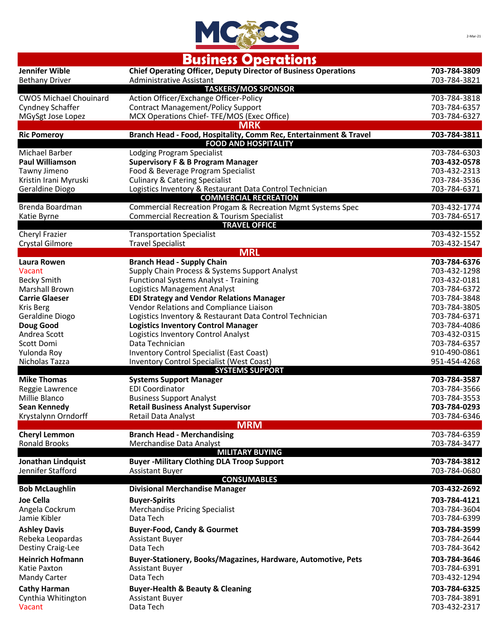

## **Business Operations**

| Jennifer Wible                               | <b>Chief Operating Officer, Deputy Director of Business Operations</b>              | 703-784-3809                 |
|----------------------------------------------|-------------------------------------------------------------------------------------|------------------------------|
| <b>Bethany Driver</b>                        | Administrative Assistant<br><b>TASKERS/MOS SPONSOR</b>                              | 703-784-3821                 |
| <b>CWO5 Michael Chouinard</b>                | Action Officer/Exchange Officer-Policy                                              | 703-784-3818                 |
| Cyndney Schaffer                             | <b>Contract Management/Policy Support</b>                                           | 703-784-6357                 |
| MGySgt Jose Lopez                            | MCX Operations Chief-TFE/MOS (Exec Office)<br><b>MRK</b>                            | 703-784-6327                 |
| <b>Ric Pomeroy</b>                           | Branch Head - Food, Hospitality, Comm Rec, Entertainment & Travel                   | 703-784-3811                 |
|                                              | <b>FOOD AND HOSPITALITY</b>                                                         |                              |
| <b>Michael Barber</b>                        | Lodging Program Specialist                                                          | 703-784-6303                 |
| <b>Paul Williamson</b><br>Tawny Jimeno       | <b>Supervisory F &amp; B Program Manager</b><br>Food & Beverage Program Specialist  | 703-432-0578<br>703-432-2313 |
| Kristin Irani Myruski                        | <b>Culinary &amp; Catering Specialist</b>                                           | 703-784-3536                 |
| Geraldine Diogo                              | Logistics Inventory & Restaurant Data Control Technician                            | 703-784-6371                 |
|                                              | <b>COMMERCIAL RECREATION</b>                                                        |                              |
| Brenda Boardman                              | Commercial Recreation Progam & Recreation Mgmt Systems Spec                         | 703-432-1774                 |
| Katie Byrne                                  | <b>Commercial Recreation &amp; Tourism Specialist</b><br><b>TRAVEL OFFICE</b>       | 703-784-6517                 |
| Cheryl Frazier                               | <b>Transportation Specialist</b>                                                    | 703-432-1552                 |
| Crystal Gilmore                              | <b>Travel Specialist</b>                                                            | 703-432-1547                 |
|                                              | <b>MRL</b>                                                                          |                              |
| Laura Rowen                                  | <b>Branch Head - Supply Chain</b>                                                   | 703-784-6376                 |
| Vacant                                       | Supply Chain Process & Systems Support Analyst                                      | 703-432-1298                 |
| <b>Becky Smith</b><br><b>Marshall Brown</b>  | <b>Functional Systems Analyst - Training</b><br><b>Logistics Management Analyst</b> | 703-432-0181<br>703-784-6372 |
| <b>Carrie Glaeser</b>                        | <b>EDI Strategy and Vendor Relations Manager</b>                                    | 703-784-3848                 |
| <b>Kris Berg</b>                             | Vendor Relations and Compliance Liaison                                             | 703-784-3805                 |
| Geraldine Diogo                              | Logistics Inventory & Restaurant Data Control Technician                            | 703-784-6371                 |
| Doug Good                                    | <b>Logistics Inventory Control Manager</b>                                          | 703-784-4086                 |
| Andrea Scott                                 | Logistics Inventory Control Analyst                                                 | 703-432-0315                 |
| Scott Domi                                   | Data Technician                                                                     | 703-784-6357                 |
| Yulonda Roy                                  | <b>Inventory Control Specialist (East Coast)</b>                                    | 910-490-0861                 |
| Nicholas Tazza                               | <b>Inventory Control Specialist (West Coast)</b><br><b>SYSTEMS SUPPORT</b>          | 951-454-4268                 |
| <b>Mike Thomas</b>                           | <b>Systems Support Manager</b>                                                      | 703-784-3587                 |
| Reggie Lawrence                              | <b>EDI Coordinator</b>                                                              | 703-784-3566                 |
| Millie Blanco                                | <b>Business Support Analyst</b>                                                     | 703-784-3553                 |
| Sean Kennedy                                 | <b>Retail Business Analyst Supervisor</b>                                           | 703-784-0293                 |
| Krystalynn Orndorff                          | Retail Data Analyst                                                                 | 703-784-6346                 |
|                                              | <b>MRM</b>                                                                          |                              |
| <b>Cheryl Lemmon</b><br><b>Ronald Brooks</b> | <b>Branch Head - Merchandising</b><br>Merchandise Data Analyst                      | 703-784-6359<br>703-784-3477 |
|                                              | <b>MILITARY BUYING</b>                                                              |                              |
| <b>Jonathan Lindquist</b>                    | <b>Buyer -Military Clothing DLA Troop Support</b>                                   | 703-784-3812                 |
| Jennifer Stafford                            | <b>Assistant Buyer</b>                                                              | 703-784-0680                 |
| <b>Bob McLaughlin</b>                        | <b>CONSUMABLES</b><br><b>Divisional Merchandise Manager</b>                         | 703-432-2692                 |
| <b>Joe Cella</b>                             | <b>Buyer-Spirits</b>                                                                | 703-784-4121                 |
| Angela Cockrum                               | <b>Merchandise Pricing Specialist</b>                                               | 703-784-3604                 |
| Jamie Kibler                                 | Data Tech                                                                           | 703-784-6399                 |
| <b>Ashley Davis</b>                          | <b>Buyer-Food, Candy &amp; Gourmet</b>                                              | 703-784-3599                 |
| Rebeka Leopardas                             | <b>Assistant Buyer</b>                                                              | 703-784-2644                 |
| Destiny Craig-Lee                            | Data Tech                                                                           | 703-784-3642                 |
| <b>Heinrich Hofmann</b>                      | Buyer-Stationery, Books/Magazines, Hardware, Automotive, Pets                       | 703-784-3646                 |
| Katie Paxton                                 | <b>Assistant Buyer</b>                                                              | 703-784-6391                 |
| <b>Mandy Carter</b>                          | Data Tech                                                                           | 703-432-1294                 |
| <b>Cathy Harman</b>                          | <b>Buyer-Health &amp; Beauty &amp; Cleaning</b>                                     | 703-784-6325                 |
| Cynthia Whitington                           | <b>Assistant Buyer</b>                                                              | 703-784-3891                 |
| Vacant                                       | Data Tech                                                                           | 703-432-2317                 |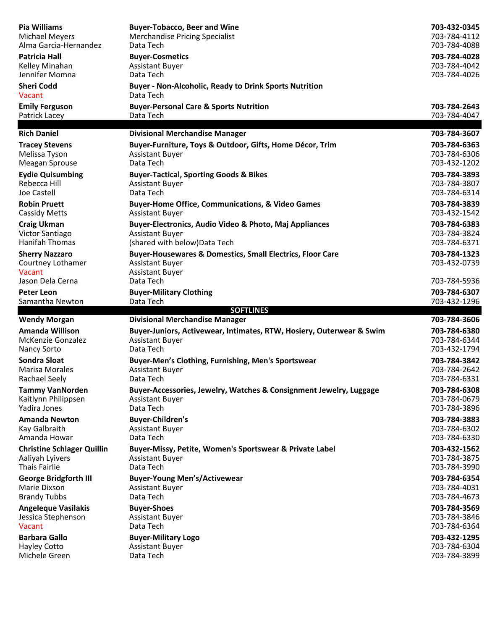| <b>Pia Williams</b>                                  | <b>Buyer-Tobacco, Beer and Wine</b>                                                                                      | 703-432-0345                 |
|------------------------------------------------------|--------------------------------------------------------------------------------------------------------------------------|------------------------------|
| <b>Michael Meyers</b>                                | <b>Merchandise Pricing Specialist</b>                                                                                    | 703-784-4112                 |
| Alma Garcia-Hernandez                                | Data Tech                                                                                                                | 703-784-4088                 |
| Patricia Hall                                        | <b>Buyer-Cosmetics</b>                                                                                                   | 703-784-4028                 |
| Kelley Minahan                                       | <b>Assistant Buyer</b>                                                                                                   | 703-784-4042                 |
| Jennifer Momna                                       | Data Tech                                                                                                                | 703-784-4026                 |
| <b>Sheri Codd</b><br>Vacant                          | <b>Buyer - Non-Alcoholic, Ready to Drink Sports Nutrition</b><br>Data Tech                                               |                              |
| <b>Emily Ferguson</b>                                | <b>Buyer-Personal Care &amp; Sports Nutrition</b>                                                                        | 703-784-2643                 |
| Patrick Lacey                                        | Data Tech                                                                                                                | 703-784-4047                 |
| <b>Rich Daniel</b>                                   | <b>Divisional Merchandise Manager</b>                                                                                    | 703-784-3607                 |
| <b>Tracey Stevens</b>                                | Buyer-Furniture, Toys & Outdoor, Gifts, Home Décor, Trim                                                                 | 703-784-6363                 |
| Melissa Tyson                                        | <b>Assistant Buyer</b>                                                                                                   | 703-784-6306                 |
| Meagan Sprouse                                       | Data Tech                                                                                                                | 703-432-1202                 |
| <b>Eydie Quisumbing</b>                              | <b>Buyer-Tactical, Sporting Goods &amp; Bikes</b>                                                                        | 703-784-3893                 |
| Rebecca Hill                                         | <b>Assistant Buyer</b>                                                                                                   | 703-784-3807                 |
| Joe Castell                                          | Data Tech                                                                                                                | 703-784-6314                 |
| <b>Robin Pruett</b>                                  | <b>Buyer-Home Office, Communications, &amp; Video Games</b>                                                              | 703-784-3839                 |
| <b>Cassidy Metts</b>                                 | <b>Assistant Buyer</b>                                                                                                   | 703-432-1542                 |
| <b>Craig Ukman</b>                                   | Buyer-Electronics, Audio Video & Photo, Maj Appliances                                                                   | 703-784-6383                 |
| Victor Santiago                                      | <b>Assistant Buyer</b>                                                                                                   | 703-784-3824                 |
| <b>Hanifah Thomas</b>                                | (shared with below) Data Tech                                                                                            | 703-784-6371                 |
| <b>Sherry Nazzaro</b><br>Courtney Lothamer<br>Vacant | <b>Buyer-Housewares &amp; Domestics, Small Electrics, Floor Care</b><br><b>Assistant Buyer</b><br><b>Assistant Buyer</b> | 703-784-1323<br>703-432-0739 |
| Jason Dela Cerna                                     | Data Tech                                                                                                                | 703-784-5936                 |
| <b>Peter Leon</b>                                    | <b>Buyer-Military Clothing</b>                                                                                           | 703-784-6307                 |
| Samantha Newton                                      | Data Tech<br><b>SOFTLINES</b>                                                                                            | 703-432-1296                 |
| <b>Wendy Morgan</b>                                  | <b>Divisional Merchandise Manager</b>                                                                                    | 703-784-3606                 |
| <b>Amanda Willison</b>                               | Buyer-Juniors, Activewear, Intimates, RTW, Hosiery, Outerwear & Swim                                                     | 703-784-6380                 |
| McKenzie Gonzalez                                    | <b>Assistant Buyer</b>                                                                                                   | 703-784-6344                 |
| <b>Nancy Sorto</b>                                   | Data Tech                                                                                                                | 703-432-1794                 |
| <b>Sondra Sloat</b>                                  | Buyer-Men's Clothing, Furnishing, Men's Sportswear                                                                       | 703-784-3842                 |
| <b>Marisa Morales</b>                                | <b>Assistant Buyer</b>                                                                                                   | 703-784-2642                 |
| Rachael Seely                                        | Data Tech                                                                                                                | 703-784-6331                 |
| <b>Tammy VanNorden</b>                               | Buyer-Accessories, Jewelry, Watches & Consignment Jewelry, Luggage                                                       | 703-784-6308                 |
| Kaitlynn Philippsen                                  | <b>Assistant Buyer</b>                                                                                                   | 703-784-0679                 |
| Yadira Jones                                         | Data Tech                                                                                                                | 703-784-3896                 |
| <b>Amanda Newton</b>                                 | <b>Buyer-Children's</b>                                                                                                  | 703-784-3883                 |
| Kay Galbraith                                        | <b>Assistant Buyer</b>                                                                                                   | 703-784-6302                 |
| Amanda Howar                                         | Data Tech                                                                                                                | 703-784-6330                 |
| <b>Christine Schlager Quillin</b>                    | Buyer-Missy, Petite, Women's Sportswear & Private Label                                                                  | 703-432-1562                 |
| Aaliyah Lyivers                                      | <b>Assistant Buyer</b>                                                                                                   | 703-784-3875                 |
| <b>Thais Fairlie</b>                                 | Data Tech                                                                                                                | 703-784-3990                 |
| <b>George Bridgforth III</b>                         | <b>Buyer-Young Men's/Activewear</b>                                                                                      | 703-784-6354                 |
| Marie Dixson                                         | <b>Assistant Buyer</b>                                                                                                   | 703-784-4031                 |
| <b>Brandy Tubbs</b>                                  | Data Tech                                                                                                                | 703-784-4673                 |
| <b>Angeleque Vasilakis</b>                           | <b>Buyer-Shoes</b>                                                                                                       | 703-784-3569                 |
| Jessica Stephenson                                   | <b>Assistant Buyer</b>                                                                                                   | 703-784-3846                 |
| Vacant                                               | Data Tech                                                                                                                | 703-784-6364                 |
| <b>Barbara Gallo</b>                                 | <b>Buyer-Military Logo</b>                                                                                               | 703-432-1295                 |
| <b>Hayley Cotto</b>                                  | <b>Assistant Buyer</b>                                                                                                   | 703-784-6304                 |
| Michele Green                                        | Data Tech                                                                                                                | 703-784-3899                 |